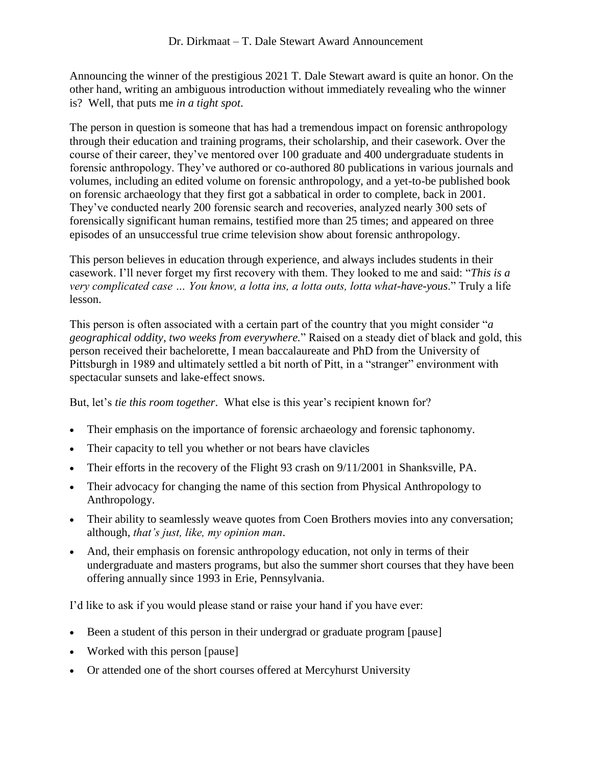Announcing the winner of the prestigious 2021 T. Dale Stewart award is quite an honor. On the other hand, writing an ambiguous introduction without immediately revealing who the winner is? Well, that puts me *in a tight spot*.

The person in question is someone that has had a tremendous impact on forensic anthropology through their education and training programs, their scholarship, and their casework. Over the course of their career, they've mentored over 100 graduate and 400 undergraduate students in forensic anthropology. They've authored or co-authored 80 publications in various journals and volumes, including an edited volume on forensic anthropology, and a yet-to-be published book on forensic archaeology that they first got a sabbatical in order to complete, back in 2001. They've conducted nearly 200 forensic search and recoveries, analyzed nearly 300 sets of forensically significant human remains, testified more than 25 times; and appeared on three episodes of an unsuccessful true crime television show about forensic anthropology.

This person believes in education through experience, and always includes students in their casework. I'll never forget my first recovery with them. They looked to me and said: "*This is a very complicated case … You know, a lotta ins, a lotta outs, lotta what-have-yous*." Truly a life lesson.

This person is often associated with a certain part of the country that you might consider "*a geographical oddity, two weeks from everywhere.*" Raised on a steady diet of black and gold, this person received their bachelorette, I mean baccalaureate and PhD from the University of Pittsburgh in 1989 and ultimately settled a bit north of Pitt, in a "stranger" environment with spectacular sunsets and lake-effect snows.

But, let's *tie this room together*. What else is this year's recipient known for?

- Their emphasis on the importance of forensic archaeology and forensic taphonomy.
- Their capacity to tell you whether or not bears have clavicles
- Their efforts in the recovery of the Flight 93 crash on 9/11/2001 in Shanksville, PA.
- Their advocacy for changing the name of this section from Physical Anthropology to Anthropology.
- Their ability to seamlessly weave quotes from Coen Brothers movies into any conversation; although, *that's just, like, my opinion man*.
- And, their emphasis on forensic anthropology education, not only in terms of their undergraduate and masters programs, but also the summer short courses that they have been offering annually since 1993 in Erie, Pennsylvania.

I'd like to ask if you would please stand or raise your hand if you have ever:

- Been a student of this person in their undergrad or graduate program [pause]
- Worked with this person [pause]
- Or attended one of the short courses offered at Mercyhurst University